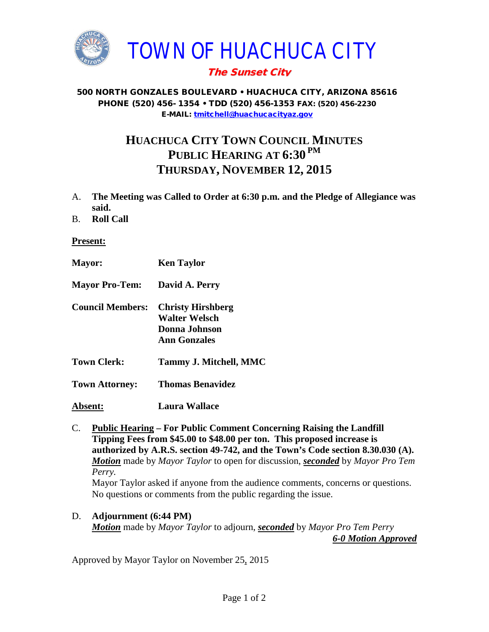

## The Sunset City

## 500 NORTH GONZALES BOULEVARD • HUACHUCA CITY, ARIZONA 85616 PHONE (520) 456- 1354 • TDD (520) 456-1353 FAX: (520) 456-2230 E-MAIL: [tmitchell@huachucacityaz.gov](mailto:tmitchell@huachucacityaz.gov)

## **HUACHUCA CITY TOWN COUNCIL MINUTES PUBLIC HEARING AT 6:30 PM THURSDAY, NOVEMBER 12, 2015**

- A. **The Meeting was Called to Order at 6:30 p.m. and the Pledge of Allegiance was said.**
- B. **Roll Call**

## **Present:**

- **Mayor: Ken Taylor**
- **Mayor Pro-Tem: David A. Perry**
- **Council Members: Christy Hirshberg Walter Welsch Donna Johnson Ann Gonzales**
- **Town Clerk: Tammy J. Mitchell, MMC**
- **Town Attorney: Thomas Benavidez**
- **Absent: Laura Wallace**

C. **Public Hearing – For Public Comment Concerning Raising the Landfill Tipping Fees from \$45.00 to \$48.00 per ton. This proposed increase is authorized by A.R.S. section 49-742, and the Town's Code section 8.30.030 (A).** *Motion* made by *Mayor Taylor* to open for discussion, *seconded* by *Mayor Pro Tem Perry.* Mayor Taylor asked if anyone from the audience comments, concerns or questions. No questions or comments from the public regarding the issue.

D. **Adjournment (6:44 PM)** *Motion* made by *Mayor Taylor* to adjourn, *seconded* by *Mayor Pro Tem Perry 6-0 Motion Approved*

Approved by Mayor Taylor on November 25, 2015